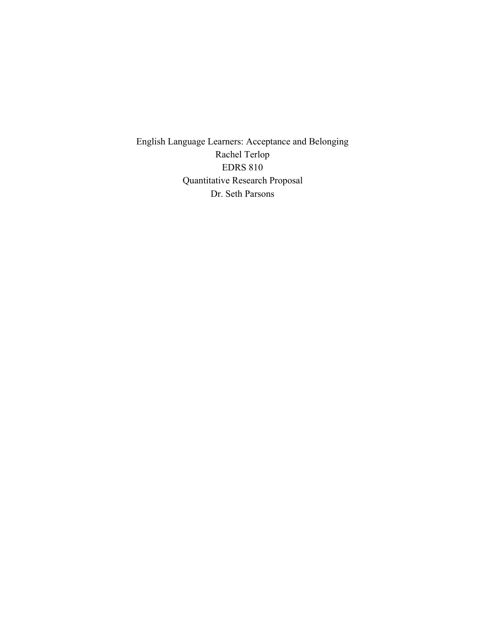English Language Learners: Acceptance and Belonging Rachel Terlop EDRS 810 Quantitative Research Proposal Dr. Seth Parsons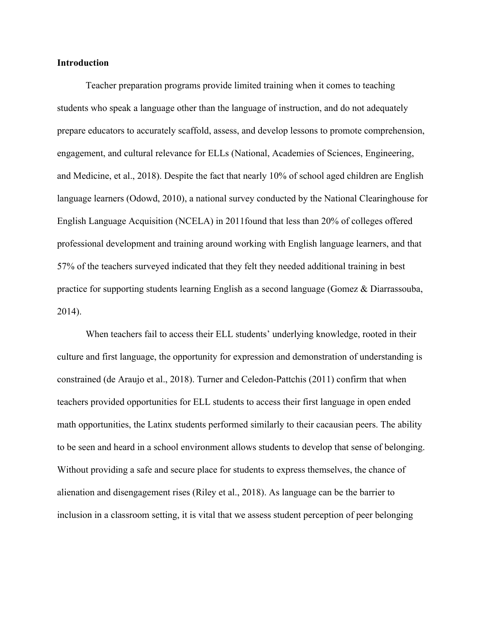#### **Introduction**

Teacher preparation programs provide limited training when it comes to teaching students who speak a language other than the language of instruction, and do not adequately prepare educators to accurately scaffold, assess, and develop lessons to promote comprehension, engagement, and cultural relevance for ELLs (National, Academies of Sciences, Engineering, and Medicine, et al., 2018). Despite the fact that nearly 10% of school aged children are English language learners (Odowd, 2010), a national survey conducted by the National Clearinghouse for English Language Acquisition (NCELA) in 2011found that less than 20% of colleges offered professional development and training around working with English language learners, and that 57% of the teachers surveyed indicated that they felt they needed additional training in best practice for supporting students learning English as a second language (Gomez & Diarrassouba, 2014).

When teachers fail to access their ELL students' underlying knowledge, rooted in their culture and first language, the opportunity for expression and demonstration of understanding is constrained (de Araujo et al., 2018). Turner and Celedon-Pattchis (2011) confirm that when teachers provided opportunities for ELL students to access their first language in open ended math opportunities, the Latinx students performed similarly to their cacausian peers. The ability to be seen and heard in a school environment allows students to develop that sense of belonging. Without providing a safe and secure place for students to express themselves, the chance of alienation and disengagement rises (Riley et al., 2018). As language can be the barrier to inclusion in a classroom setting, it is vital that we assess student perception of peer belonging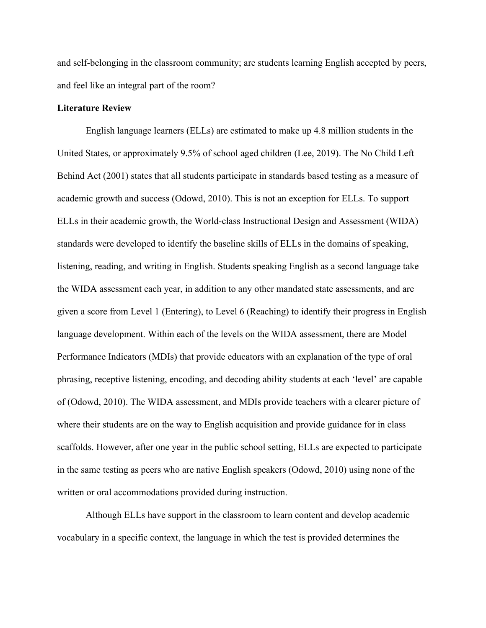and self-belonging in the classroom community; are students learning English accepted by peers, and feel like an integral part of the room?

## **Literature Review**

English language learners (ELLs) are estimated to make up 4.8 million students in the United States, or approximately 9.5% of school aged children (Lee, 2019). The No Child Left Behind Act (2001) states that all students participate in standards based testing as a measure of academic growth and success (Odowd, 2010). This is not an exception for ELLs. To support ELLs in their academic growth, the World-class Instructional Design and Assessment (WIDA) standards were developed to identify the baseline skills of ELLs in the domains of speaking, listening, reading, and writing in English. Students speaking English as a second language take the WIDA assessment each year, in addition to any other mandated state assessments, and are given a score from Level 1 (Entering), to Level 6 (Reaching) to identify their progress in English language development. Within each of the levels on the WIDA assessment, there are Model Performance Indicators (MDIs) that provide educators with an explanation of the type of oral phrasing, receptive listening, encoding, and decoding ability students at each 'level' are capable of (Odowd, 2010). The WIDA assessment, and MDIs provide teachers with a clearer picture of where their students are on the way to English acquisition and provide guidance for in class scaffolds. However, after one year in the public school setting, ELLs are expected to participate in the same testing as peers who are native English speakers (Odowd, 2010) using none of the written or oral accommodations provided during instruction.

Although ELLs have support in the classroom to learn content and develop academic vocabulary in a specific context, the language in which the test is provided determines the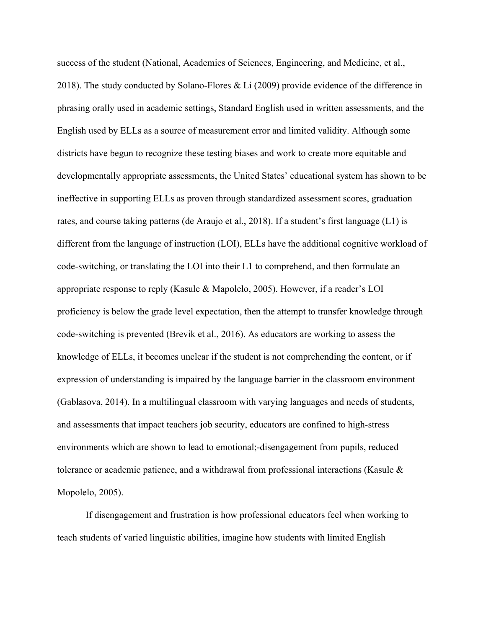success of the student (National, Academies of Sciences, Engineering, and Medicine, et al., 2018). The study conducted by Solano-Flores & Li (2009) provide evidence of the difference in phrasing orally used in academic settings, Standard English used in written assessments, and the English used by ELLs as a source of measurement error and limited validity. Although some districts have begun to recognize these testing biases and work to create more equitable and developmentally appropriate assessments, the United States' educational system has shown to be ineffective in supporting ELLs as proven through standardized assessment scores, graduation rates, and course taking patterns (de Araujo et al., 2018). If a student's first language (L1) is different from the language of instruction (LOI), ELLs have the additional cognitive workload of code-switching, or translating the LOI into their L1 to comprehend, and then formulate an appropriate response to reply (Kasule & Mapolelo, 2005). However, if a reader's LOI proficiency is below the grade level expectation, then the attempt to transfer knowledge through code-switching is prevented (Brevik et al., 2016). As educators are working to assess the knowledge of ELLs, it becomes unclear if the student is not comprehending the content, or if expression of understanding is impaired by the language barrier in the classroom environment (Gablasova, 2014). In a multilingual classroom with varying languages and needs of students, and assessments that impact teachers job security, educators are confined to high-stress environments which are shown to lead to emotional;-disengagement from pupils, reduced tolerance or academic patience, and a withdrawal from professional interactions (Kasule & Mopolelo, 2005).

If disengagement and frustration is how professional educators feel when working to teach students of varied linguistic abilities, imagine how students with limited English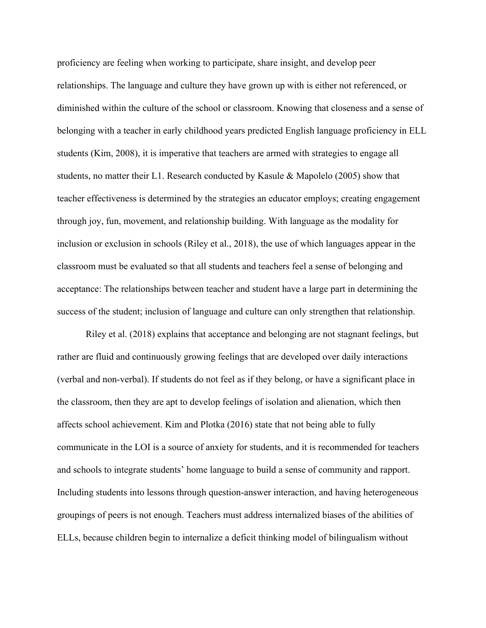proficiency are feeling when working to participate, share insight, and develop peer relationships. The language and culture they have grown up with is either not referenced, or diminished within the culture of the school or classroom. Knowing that closeness and a sense of belonging with a teacher in early childhood years predicted English language proficiency in ELL students (Kim, 2008), it is imperative that teachers are armed with strategies to engage all students, no matter their L1. Research conducted by Kasule & Mapolelo (2005) show that teacher effectiveness is determined by the strategies an educator employs; creating engagement through joy, fun, movement, and relationship building. With language as the modality for inclusion or exclusion in schools (Riley et al., 2018), the use of which languages appear in the classroom must be evaluated so that all students and teachers feel a sense of belonging and acceptance: The relationships between teacher and student have a large part in determining the success of the student; inclusion of language and culture can only strengthen that relationship.

Riley et al. (2018) explains that acceptance and belonging are not stagnant feelings, but rather are fluid and continuously growing feelings that are developed over daily interactions (verbal and non-verbal). If students do not feel as if they belong, or have a significant place in the classroom, then they are apt to develop feelings of isolation and alienation, which then affects school achievement. Kim and Plotka (2016) state that not being able to fully communicate in the LOI is a source of anxiety for students, and it is recommended for teachers and schools to integrate students' home language to build a sense of community and rapport. Including students into lessons through question-answer interaction, and having heterogeneous groupings of peers is not enough. Teachers must address internalized biases of the abilities of ELLs, because children begin to internalize a deficit thinking model of bilingualism without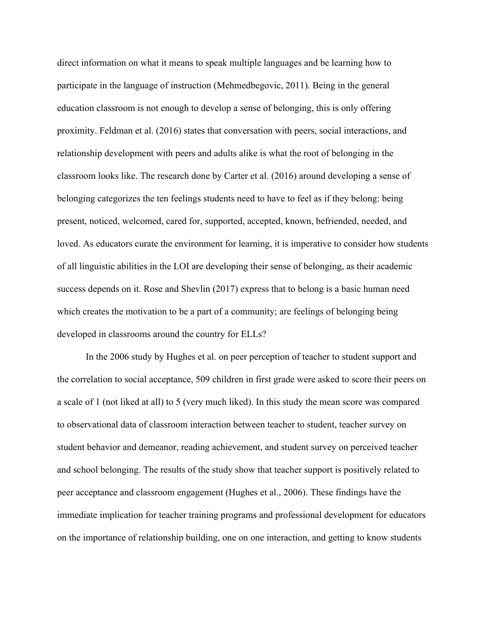direct information on what it means to speak multiple languages and be learning how to participate in the language of instruction (Mehmedbegovic, 2011). Being in the general education classroom is not enough to develop a sense of belonging, this is only offering proximity. Feldman et al. (2016) states that conversation with peers, social interactions, and relationship development with peers and adults alike is what the root of belonging in the classroom looks like. The research done by Carter et al. (2016) around developing a sense of belonging categorizes the ten feelings students need to have to feel as if they belong: being present, noticed, welcomed, cared for, supported, accepted, known, befriended, needed, and loved. As educators curate the environment for learning, it is imperative to consider how students of all linguistic abilities in the LOI are developing their sense of belonging, as their academic success depends on it. Rose and Shevlin (2017) express that to belong is a basic human need which creates the motivation to be a part of a community; are feelings of belonging being developed in classrooms around the country for ELLs?

In the 2006 study by Hughes et al. on peer perception of teacher to student support and the correlation to social acceptance, 509 children in first grade were asked to score their peers on a scale of 1 (not liked at all) to 5 (very much liked). In this study the mean score was compared to observational data of classroom interaction between teacher to student, teacher survey on student behavior and demeanor, reading achievement, and student survey on perceived teacher and school belonging. The results of the study show that teacher support is positively related to peer acceptance and classroom engagement (Hughes et al., 2006). These findings have the immediate implication for teacher training programs and professional development for educators on the importance of relationship building, one on one interaction, and getting to know students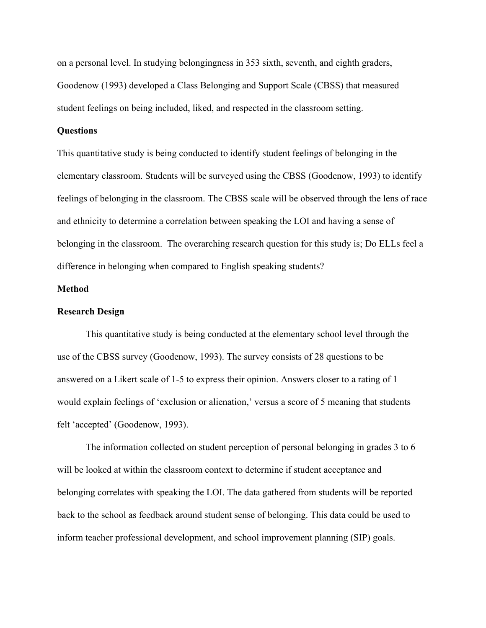on a personal level. In studying belongingness in 353 sixth, seventh, and eighth graders, Goodenow (1993) developed a Class Belonging and Support Scale (CBSS) that measured student feelings on being included, liked, and respected in the classroom setting.

# **Questions**

This quantitative study is being conducted to identify student feelings of belonging in the elementary classroom. Students will be surveyed using the CBSS (Goodenow, 1993) to identify feelings of belonging in the classroom. The CBSS scale will be observed through the lens of race and ethnicity to determine a correlation between speaking the LOI and having a sense of belonging in the classroom. The overarching research question for this study is; Do ELLs feel a difference in belonging when compared to English speaking students?

#### **Method**

## **Research Design**

This quantitative study is being conducted at the elementary school level through the use of the CBSS survey (Goodenow, 1993). The survey consists of 28 questions to be answered on a Likert scale of 1-5 to express their opinion. Answers closer to a rating of 1 would explain feelings of 'exclusion or alienation,' versus a score of 5 meaning that students felt 'accepted' (Goodenow, 1993).

The information collected on student perception of personal belonging in grades 3 to 6 will be looked at within the classroom context to determine if student acceptance and belonging correlates with speaking the LOI. The data gathered from students will be reported back to the school as feedback around student sense of belonging. This data could be used to inform teacher professional development, and school improvement planning (SIP) goals.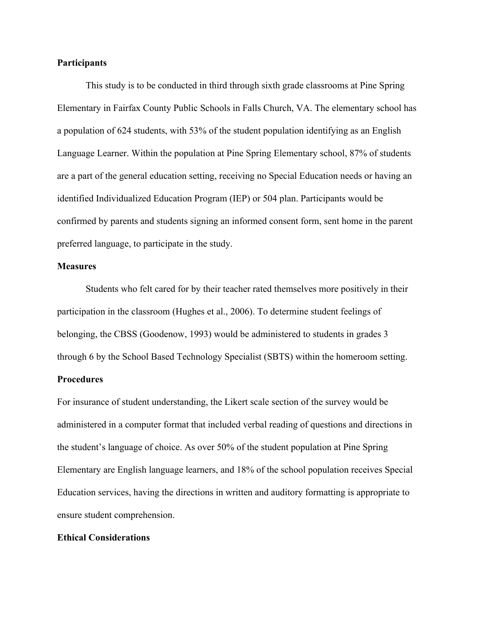## **Participants**

This study is to be conducted in third through sixth grade classrooms at Pine Spring Elementary in Fairfax County Public Schools in Falls Church, VA. The elementary school has a population of 624 students, with 53% of the student population identifying as an English Language Learner. Within the population at Pine Spring Elementary school, 87% of students are a part of the general education setting, receiving no Special Education needs or having an identified Individualized Education Program (IEP) or 504 plan. Participants would be confirmed by parents and students signing an informed consent form, sent home in the parent preferred language, to participate in the study.

#### **Measures**

Students who felt cared for by their teacher rated themselves more positively in their participation in the classroom (Hughes et al., 2006). To determine student feelings of belonging, the CBSS (Goodenow, 1993) would be administered to students in grades 3 through 6 by the School Based Technology Specialist (SBTS) within the homeroom setting.

# **Procedures**

For insurance of student understanding, the Likert scale section of the survey would be administered in a computer format that included verbal reading of questions and directions in the student's language of choice. As over 50% of the student population at Pine Spring Elementary are English language learners, and 18% of the school population receives Special Education services, having the directions in written and auditory formatting is appropriate to ensure student comprehension.

# **Ethical Considerations**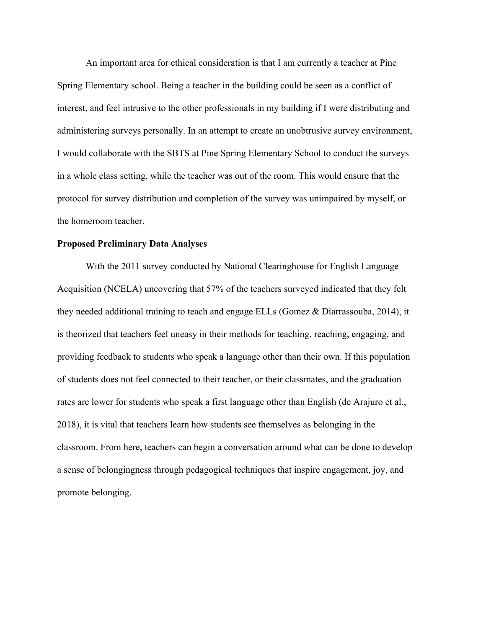An important area for ethical consideration is that I am currently a teacher at Pine Spring Elementary school. Being a teacher in the building could be seen as a conflict of interest, and feel intrusive to the other professionals in my building if I were distributing and administering surveys personally. In an attempt to create an unobtrusive survey environment, I would collaborate with the SBTS at Pine Spring Elementary School to conduct the surveys in a whole class setting, while the teacher was out of the room. This would ensure that the protocol for survey distribution and completion of the survey was unimpaired by myself, or the homeroom teacher.

#### **Proposed Preliminary Data Analyses**

With the 2011 survey conducted by National Clearinghouse for English Language Acquisition (NCELA) uncovering that 57% of the teachers surveyed indicated that they felt they needed additional training to teach and engage ELLs (Gomez & Diarrassouba, 2014), it is theorized that teachers feel uneasy in their methods for teaching, reaching, engaging, and providing feedback to students who speak a language other than their own. If this population of students does not feel connected to their teacher, or their classmates, and the graduation rates are lower for students who speak a first language other than English (de Arajuro et al., 2018), it is vital that teachers learn how students see themselves as belonging in the classroom. From here, teachers can begin a conversation around what can be done to develop a sense of belongingness through pedagogical techniques that inspire engagement, joy, and promote belonging.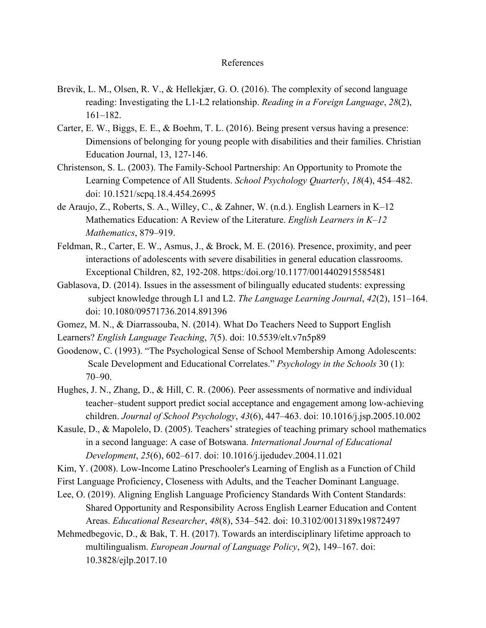#### References

- Brevik, L. M., Olsen, R. V., & Hellekjær, G. O. (2016). The complexity of second language reading: Investigating the L1-L2 relationship. *Reading in a Foreign Language*, *28*(2), 161–182.
- Carter, E. W., Biggs, E. E., & Boehm, T. L. (2016). Being present versus having a presence: Dimensions of belonging for young people with disabilities and their families. Christian Education Journal, 13, 127-146.
- Christenson, S. L. (2003). The Family-School Partnership: An Opportunity to Promote the Learning Competence of All Students. *School Psychology Quarterly*, *18*(4), 454–482. doi: 10.1521/scpq.18.4.454.26995
- de Araujo, Z., Roberts, S. A., Willey, C., & Zahner, W. (n.d.). English Learners in K–12 Mathematics Education: A Review of the Literature. *English Learners in K–12 Mathematics*, 879–919.
- Feldman, R., Carter, E. W., Asmus, J., & Brock, M. E. (2016). Presence, proximity, and peer interactions of adolescents with severe disabilities in general education classrooms. Exceptional Children, 82, 192-208. https:/doi.org/10.1177/0014402915585481
- Gablasova, D. (2014). Issues in the assessment of bilingually educated students: expressing subject knowledge through L1 and L2. *The Language Learning Journal*, *42*(2), 151–164. doi: 10.1080/09571736.2014.891396
- Gomez, M. N., & Diarrassouba, N. (2014). What Do Teachers Need to Support English Learners? *English Language Teaching*, *7*(5). doi: 10.5539/elt.v7n5p89
- Goodenow, C. (1993). "The Psychological Sense of School Membership Among Adolescents: Scale Development and Educational Correlates." *Psychology in the Schools* 30 (1): 70–90.
- Hughes, J. N., Zhang, D., & Hill, C. R. (2006). Peer assessments of normative and individual teacher–student support predict social acceptance and engagement among low-achieving children. *Journal of School Psychology*, *43*(6), 447–463. doi: 10.1016/j.jsp.2005.10.002
- Kasule, D., & Mapolelo, D. (2005). Teachers' strategies of teaching primary school mathematics in a second language: A case of Botswana. *International Journal of Educational Development*, *25*(6), 602–617. doi: 10.1016/j.ijedudev.2004.11.021
- Kim, Y. (2008). Low-Income Latino Preschooler's Learning of English as a Function of Child
- First Language Proficiency, Closeness with Adults, and the Teacher Dominant Language.
- Lee, O. (2019). Aligning English Language Proficiency Standards With Content Standards: Shared Opportunity and Responsibility Across English Learner Education and Content Areas. *Educational Researcher*, *48*(8), 534–542. doi: 10.3102/0013189x19872497
- Mehmedbegovic, D., & Bak, T. H. (2017). Towards an interdisciplinary lifetime approach to multilingualism. *European Journal of Language Policy*, *9*(2), 149–167. doi: 10.3828/ejlp.2017.10